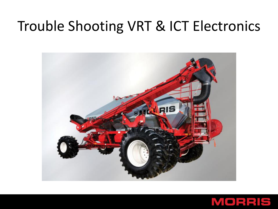#### Trouble Shooting VRT & ICT Electronics



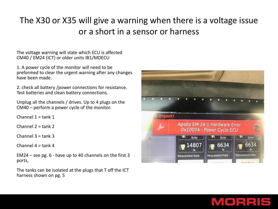#### The X30 or X35 will give a warning when there is a voltage issue or a short in a sensor or harness

The voltage warning will state which ECU is affected CM40 / EM24 (ICT) or older units IB1/MDECU

1. A power cycle of the monitor will need to be preformed to clear the urgent warning after any changes have been made.

2. check all battery /power connections for resistance. Test batteries and clean battery connections.

Unplug all the channels / drives. Up to 4 plugs on the CM40 – perform a power cycle of the monitor.

Channel  $1 =$  tank  $1$ 

Channel  $2 = \text{rank } 2$ 

Channel 3 = tank 3

Channel  $4 = \text{rank } 4$ 

EM24 – see pg. 6 - have up to 40 channels on the first 3 ports,

The tanks can be isolated at the plugs that T off the ICT harness shown on pg. 5



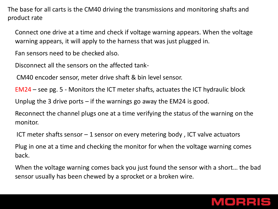The base for all carts is the CM40 driving the transmissions and monitoring shafts and product rate

Connect one drive at a time and check if voltage warning appears. When the voltage warning appears, it will apply to the harness that was just plugged in.

Fan sensors need to be checked also.

Disconnect all the sensors on the affected tank-

CM40 encoder sensor, meter drive shaft & bin level sensor.

EM24 – see pg. 5 - Monitors the ICT meter shafts, actuates the ICT hydraulic block

Unplug the 3 drive ports  $-$  if the warnings go away the EM24 is good.

Reconnect the channel plugs one at a time verifying the status of the warning on the monitor.

ICT meter shafts sensor – 1 sensor on every metering body , ICT valve actuators

Plug in one at a time and checking the monitor for when the voltage warning comes back.

When the voltage warning comes back you just found the sensor with a short… the bad sensor usually has been chewed by a sprocket or a broken wire.

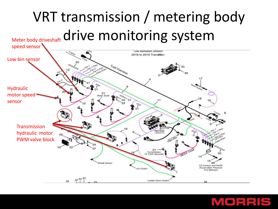# VRT transmission / metering body Meter body driveshaft drive monitoring system



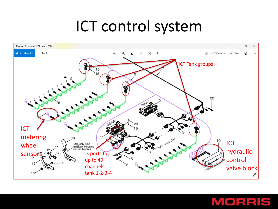## ICT control system



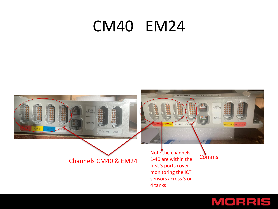#### CM40 EM24



#### MORRIS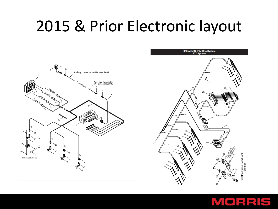## 2015 & Prior Electronic layout





#### MORRIS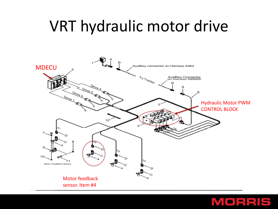## VRT hydraulic motor drive



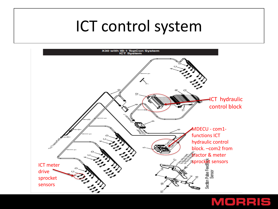### ICT control system



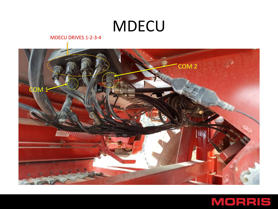### **MDECU**

MDECU DRIVES 1-2-3-4